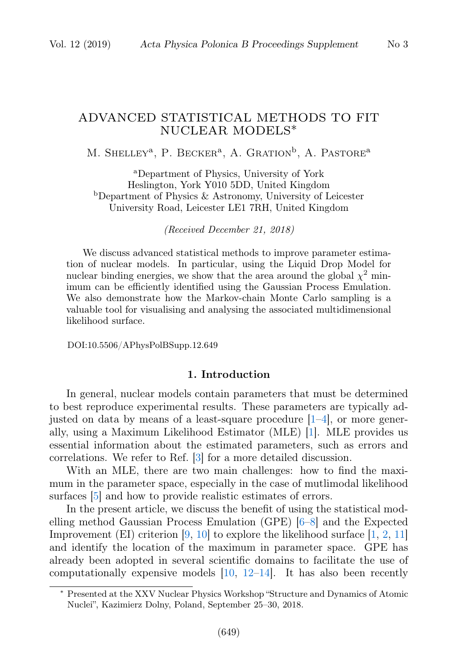# ADVANCED STATISTICAL METHODS TO FIT NUCLEAR MODELS∗

M. SHELLEY<sup>a</sup>, P. BECKER<sup>a</sup>, A. GRATION<sup>b</sup>, A. PASTORE<sup>a</sup>

<sup>a</sup>Department of Physics, University of York Heslington, York Y010 5DD, United Kingdom <sup>b</sup>Department of Physics & Astronomy, University of Leicester University Road, Leicester LE1 7RH, United Kingdom

(Received December 21, 2018)

We discuss advanced statistical methods to improve parameter estimation of nuclear models. In particular, using the Liquid Drop Model for nuclear binding energies, we show that the area around the global  $\chi^2$  minimum can be efficiently identified using the Gaussian Process Emulation. We also demonstrate how the Markov-chain Monte Carlo sampling is a valuable tool for visualising and analysing the associated multidimensional likelihood surface.

DOI:10.5506/APhysPolBSupp.12.649

# 1. Introduction

In general, nuclear models contain parameters that must be determined to best reproduce experimental results. These parameters are typically adjusted on data by means of a least-square procedure  $[1-4]$  $[1-4]$ , or more generally, using a Maximum Likelihood Estimator (MLE) [\[1\]](#page-6-0). MLE provides us essential information about the estimated parameters, such as errors and correlations. We refer to Ref. [\[3\]](#page-6-2) for a more detailed discussion.

With an MLE, there are two main challenges: how to find the maximum in the parameter space, especially in the case of mutlimodal likelihood surfaces [\[5\]](#page-6-3) and how to provide realistic estimates of errors.

In the present article, we discuss the benefit of using the statistical modelling method Gaussian Process Emulation (GPE) [\[6–](#page-7-0)[8\]](#page-7-1) and the Expected Improvement (EI) criterion  $[9, 10]$  $[9, 10]$  $[9, 10]$  to explore the likelihood surface  $[1, 2, 11]$  $[1, 2, 11]$  $[1, 2, 11]$  $[1, 2, 11]$  $[1, 2, 11]$ and identify the location of the maximum in parameter space. GPE has already been adopted in several scientific domains to facilitate the use of computationally expensive models  $[10, 12-14]$  $[10, 12-14]$  $[10, 12-14]$  $[10, 12-14]$ . It has also been recently

<sup>∗</sup> Presented at the XXV Nuclear Physics Workshop "Structure and Dynamics of Atomic Nuclei", Kazimierz Dolny, Poland, September 25–30, 2018.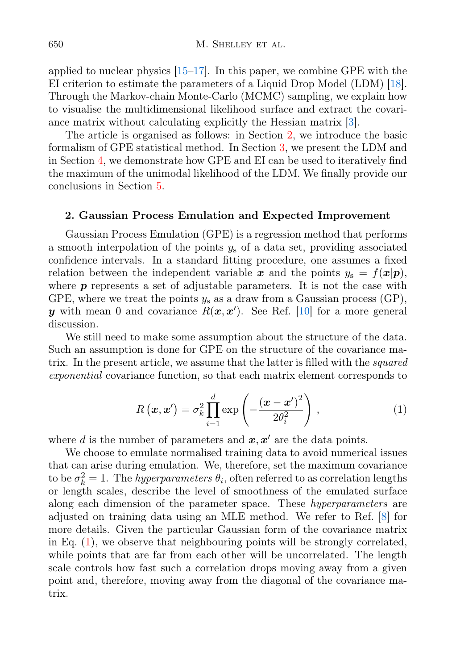applied to nuclear physics  $[15-17]$  $[15-17]$ . In this paper, we combine GPE with the EI criterion to estimate the parameters of a Liquid Drop Model (LDM) [\[18\]](#page-7-9). Through the Markov-chain Monte-Carlo (MCMC) sampling, we explain how to visualise the multidimensional likelihood surface and extract the covariance matrix without calculating explicitly the Hessian matrix [\[3\]](#page-6-2).

The article is organised as follows: in Section [2,](#page-1-0) we introduce the basic formalism of GPE statistical method. In Section [3,](#page-2-0) we present the LDM and in Section [4,](#page-3-0) we demonstrate how GPE and EI can be used to iteratively find the maximum of the unimodal likelihood of the LDM. We finally provide our conclusions in Section [5.](#page-6-5)

### <span id="page-1-0"></span>2. Gaussian Process Emulation and Expected Improvement

Gaussian Process Emulation (GPE) is a regression method that performs a smooth interpolation of the points  $y_s$  of a data set, providing associated confidence intervals. In a standard fitting procedure, one assumes a fixed relation between the independent variable x and the points  $y_s = f(x|p)$ , where  $p$  represents a set of adjustable parameters. It is not the case with GPE, where we treat the points  $y_s$  as a draw from a Gaussian process (GP), y with mean 0 and covariance  $R(x, x')$ . See Ref. [\[10\]](#page-7-3) for a more general discussion.

<span id="page-1-1"></span>We still need to make some assumption about the structure of the data. Such an assumption is done for GPE on the structure of the covariance matrix. In the present article, we assume that the latter is filled with the *squared* exponential covariance function, so that each matrix element corresponds to

$$
R\left(\boldsymbol{x}, \boldsymbol{x}'\right) = \sigma_k^2 \prod_{i=1}^d \exp\left(-\frac{\left(\boldsymbol{x} - \boldsymbol{x}'\right)^2}{2\theta_i^2}\right),\tag{1}
$$

where d is the number of parameters and  $x, x'$  are the data points.

We choose to emulate normalised training data to avoid numerical issues that can arise during emulation. We, therefore, set the maximum covariance to be  $\sigma_k^2 = 1$ . The *hyperparameters*  $\theta_i$ , often referred to as correlation lengths or length scales, describe the level of smoothness of the emulated surface along each dimension of the parameter space. These *hyperparameters* are adjusted on training data using an MLE method. We refer to Ref. [\[8\]](#page-7-1) for more details. Given the particular Gaussian form of the covariance matrix in Eq. [\(1\)](#page-1-1), we observe that neighbouring points will be strongly correlated, while points that are far from each other will be uncorrelated. The length scale controls how fast such a correlation drops moving away from a given point and, therefore, moving away from the diagonal of the covariance matrix.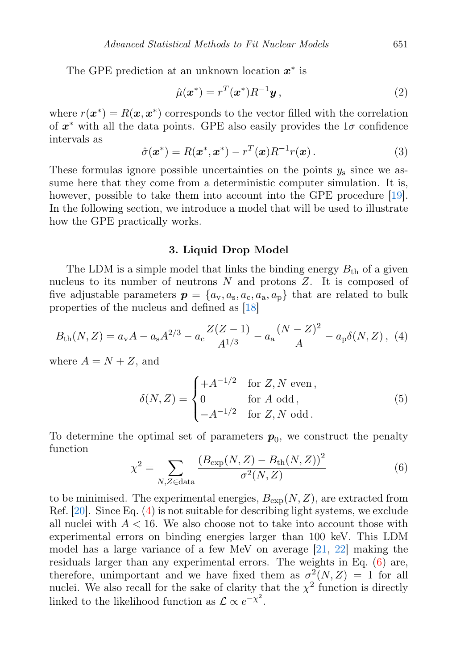The GPE prediction at an unknown location  $x^*$  is

$$
\hat{\mu}(\boldsymbol{x}^*) = r^T(\boldsymbol{x}^*)R^{-1}\boldsymbol{y},\tag{2}
$$

where  $r(\mathbf{x}^*) = R(\mathbf{x}, \mathbf{x}^*)$  corresponds to the vector filled with the correlation of  $x^*$  with all the data points. GPE also easily provides the  $1\sigma$  confidence intervals as

$$
\hat{\sigma}(\boldsymbol{x}^*) = R(\boldsymbol{x}^*, \boldsymbol{x}^*) - r^T(\boldsymbol{x})R^{-1}r(\boldsymbol{x}). \tag{3}
$$

These formulas ignore possible uncertainties on the points  $y_s$  since we assume here that they come from a deterministic computer simulation. It is, however, possible to take them into account into the GPE procedure [\[19\]](#page-7-10). In the following section, we introduce a model that will be used to illustrate how the GPE practically works.

### <span id="page-2-1"></span>3. Liquid Drop Model

<span id="page-2-0"></span>The LDM is a simple model that links the binding energy  $B_{th}$  of a given nucleus to its number of neutrons  $N$  and protons  $Z$ . It is composed of five adjustable parameters  $p = \{a_v, a_s, a_c, a_a, a_p\}$  that are related to bulk properties of the nucleus and defined as [\[18\]](#page-7-9)

$$
B_{\rm th}(N,Z) = a_{\rm v}A - a_{\rm s}A^{2/3} - a_{\rm c}\frac{Z(Z-1)}{A^{1/3}} - a_{\rm a}\frac{(N-Z)^2}{A} - a_{\rm p}\delta(N,Z), \tag{4}
$$

where  $A = N + Z$ , and

$$
\delta(N, Z) = \begin{cases}\n+ A^{-1/2} & \text{for } Z, N \text{ even}, \\
0 & \text{for } A \text{ odd}, \\
-A^{-1/2} & \text{for } Z, N \text{ odd}.\n\end{cases}
$$
\n(5)

To determine the optimal set of parameters  $p_0$ , we construct the penalty function

<span id="page-2-2"></span>
$$
\chi^{2} = \sum_{N,Z \in \text{data}} \frac{(B_{\exp}(N,Z) - B_{\text{th}}(N,Z))^{2}}{\sigma^{2}(N,Z)}
$$
(6)

to be minimised. The experimental energies,  $B_{\text{exp}}(N, Z)$ , are extracted from Ref. [\[20\]](#page-7-11). Since Eq. [\(4\)](#page-2-1) is not suitable for describing light systems, we exclude all nuclei with  $A < 16$ . We also choose not to take into account those with experimental errors on binding energies larger than 100 keV. This LDM model has a large variance of a few MeV on average [\[21,](#page-7-12) [22\]](#page-7-13) making the residuals larger than any experimental errors. The weights in Eq. [\(6\)](#page-2-2) are, therefore, unimportant and we have fixed them as  $\sigma^2(N, Z) = 1$  for all nuclei. We also recall for the sake of clarity that the  $\chi^2$  function is directly linked to the likelihood function as  $\mathcal{L} \propto e^{-\chi^2}$ .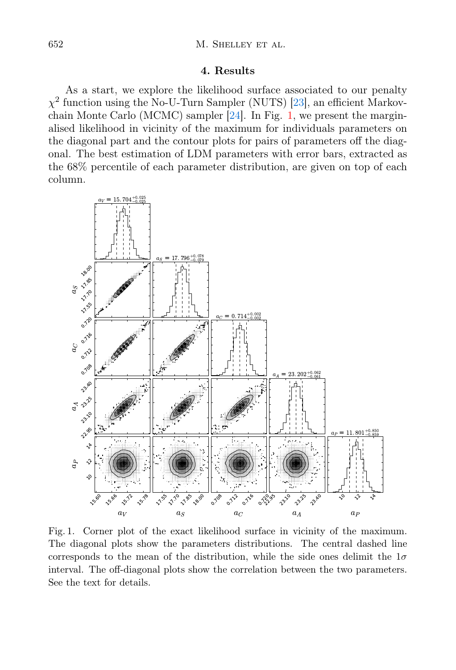## 4. Results

<span id="page-3-0"></span>As a start, we explore the likelihood surface associated to our penalty  $\chi^2$  function using the No-U-Turn Sampler (NUTS) [\[23\]](#page-7-14), an efficient Markovchain Monte Carlo (MCMC) sampler [\[24\]](#page-7-15). In Fig. [1,](#page-3-1) we present the marginalised likelihood in vicinity of the maximum for individuals parameters on the diagonal part and the contour plots for pairs of parameters off the diagonal. The best estimation of LDM parameters with error bars, extracted as the 68% percentile of each parameter distribution, are given on top of each column.



<span id="page-3-1"></span>Fig. 1. Corner plot of the exact likelihood surface in vicinity of the maximum. The diagonal plots show the parameters distributions. The central dashed line corresponds to the mean of the distribution, while the side ones delimit the  $1\sigma$ interval. The off-diagonal plots show the correlation between the two parameters. See the text for details.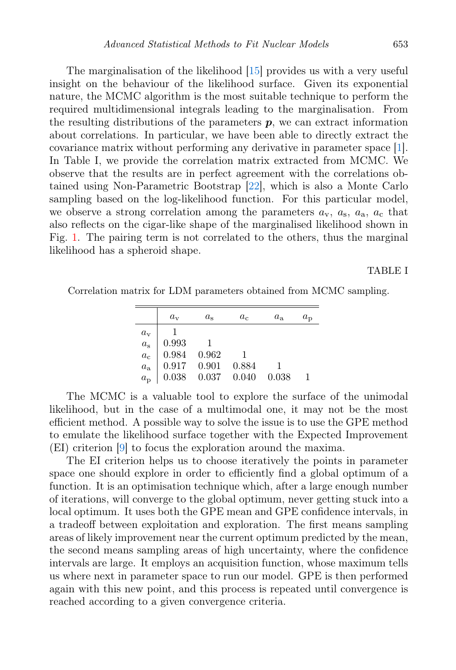The marginalisation of the likelihood [\[15\]](#page-7-7) provides us with a very useful insight on the behaviour of the likelihood surface. Given its exponential nature, the MCMC algorithm is the most suitable technique to perform the required multidimensional integrals leading to the marginalisation. From the resulting distributions of the parameters  $p$ , we can extract information about correlations. In particular, we have been able to directly extract the covariance matrix without performing any derivative in parameter space [\[1\]](#page-6-0). In Table I, we provide the correlation matrix extracted from MCMC. We observe that the results are in perfect agreement with the correlations obtained using Non-Parametric Bootstrap [\[22\]](#page-7-13), which is also a Monte Carlo sampling based on the log-likelihood function. For this particular model, we observe a strong correlation among the parameters  $a_{v}$ ,  $a_{s}$ ,  $a_{a}$ ,  $a_{c}$  that also reflects on the cigar-like shape of the marginalised likelihood shown in Fig. [1.](#page-3-1) The pairing term is not correlated to the others, thus the marginal likelihood has a spheroid shape.

## TABLE I

Correlation matrix for LDM parameters obtained from MCMC sampling.

|                         | $a_{v}$         | $a_{\rm s}$   | $a_c$ | $a_{\rm a}$ | $a_{\rm p}$ |
|-------------------------|-----------------|---------------|-------|-------------|-------------|
|                         |                 |               |       |             |             |
| $a_{\rm v}$ $a_{\rm s}$ | 0.993           |               |       |             |             |
|                         | 0.984           | 0.962         |       |             |             |
| $a_{\rm c}$ $a_{\rm a}$ | $0.917$ $0.901$ |               | 0.884 |             |             |
| $a_{\rm p}$             | 0.038           | $0.037$ 0.040 |       | 0.038       |             |

The MCMC is a valuable tool to explore the surface of the unimodal likelihood, but in the case of a multimodal one, it may not be the most efficient method. A possible way to solve the issue is to use the GPE method to emulate the likelihood surface together with the Expected Improvement (EI) criterion [\[9\]](#page-7-2) to focus the exploration around the maxima.

The EI criterion helps us to choose iteratively the points in parameter space one should explore in order to efficiently find a global optimum of a function. It is an optimisation technique which, after a large enough number of iterations, will converge to the global optimum, never getting stuck into a local optimum. It uses both the GPE mean and GPE confidence intervals, in a tradeoff between exploitation and exploration. The first means sampling areas of likely improvement near the current optimum predicted by the mean, the second means sampling areas of high uncertainty, where the confidence intervals are large. It employs an acquisition function, whose maximum tells us where next in parameter space to run our model. GPE is then performed again with this new point, and this process is repeated until convergence is reached according to a given convergence criteria.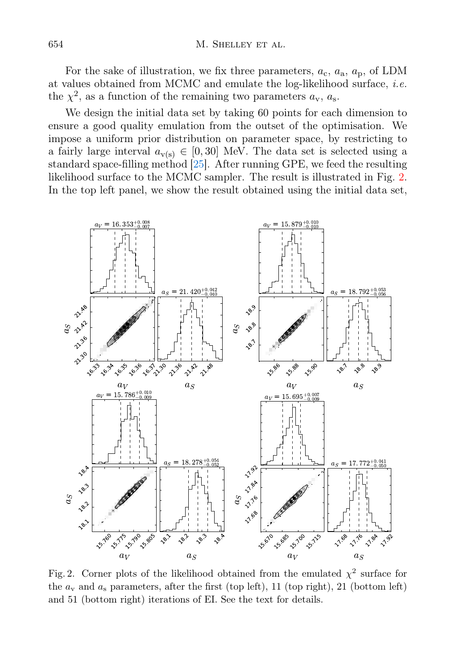For the sake of illustration, we fix three parameters,  $a_c$ ,  $a_a$ ,  $a_p$ , of LDM at values obtained from MCMC and emulate the log-likelihood surface, i.e. the  $\chi^2$ , as a function of the remaining two parameters  $a_v$ ,  $a_s$ .

We design the initial data set by taking 60 points for each dimension to ensure a good quality emulation from the outset of the optimisation. We impose a uniform prior distribution on parameter space, by restricting to a fairly large interval  $a_{\nu(s)} \in [0, 30]$  MeV. The data set is selected using a standard space-filling method [\[25\]](#page-7-16). After running GPE, we feed the resulting likelihood surface to the MCMC sampler. The result is illustrated in Fig. [2.](#page-5-0) In the top left panel, we show the result obtained using the initial data set,



<span id="page-5-0"></span>Fig. 2. Corner plots of the likelihood obtained from the emulated  $\chi^2$  surface for the  $a_v$  and  $a_s$  parameters, after the first (top left), 11 (top right), 21 (bottom left) and 51 (bottom right) iterations of EI. See the text for details.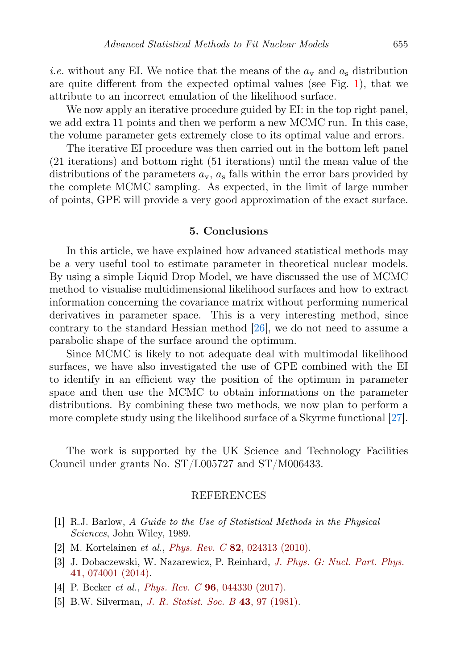*i.e.* without any EI. We notice that the means of the  $a_v$  and  $a_s$  distribution are quite different from the expected optimal values (see Fig. [1\)](#page-3-1), that we attribute to an incorrect emulation of the likelihood surface.

We now apply an iterative procedure guided by EI: in the top right panel, we add extra 11 points and then we perform a new MCMC run. In this case, the volume parameter gets extremely close to its optimal value and errors.

The iterative EI procedure was then carried out in the bottom left panel (21 iterations) and bottom right (51 iterations) until the mean value of the distributions of the parameters  $a_{v}$ ,  $a_{s}$  falls within the error bars provided by the complete MCMC sampling. As expected, in the limit of large number of points, GPE will provide a very good approximation of the exact surface.

#### 5. Conclusions

<span id="page-6-5"></span>In this article, we have explained how advanced statistical methods may be a very useful tool to estimate parameter in theoretical nuclear models. By using a simple Liquid Drop Model, we have discussed the use of MCMC method to visualise multidimensional likelihood surfaces and how to extract information concerning the covariance matrix without performing numerical derivatives in parameter space. This is a very interesting method, since contrary to the standard Hessian method [\[26\]](#page-7-17), we do not need to assume a parabolic shape of the surface around the optimum.

Since MCMC is likely to not adequate deal with multimodal likelihood surfaces, we have also investigated the use of GPE combined with the EI to identify in an efficient way the position of the optimum in parameter space and then use the MCMC to obtain informations on the parameter distributions. By combining these two methods, we now plan to perform a more complete study using the likelihood surface of a Skyrme functional [\[27\]](#page-7-18).

The work is supported by the UK Science and Technology Facilities Council under grants No. ST/L005727 and ST/M006433.

## REFERENCES

- <span id="page-6-0"></span>[1] R.J. Barlow, A Guide to the Use of Statistical Methods in the Physical Sciences, John Wiley, 1989.
- <span id="page-6-4"></span>[2] M. Kortelainen et al., Phys. Rev. C 82[, 024313 \(2010\).](http://dx.doi.org/10.1103/PhysRevC.82.024313)
- <span id="page-6-2"></span>[3] J. Dobaczewski, W. Nazarewicz, P. Reinhard, [J. Phys. G: Nucl. Part. Phys.](http://dx.doi.org/10.1088/0954-3899/41/7/074001) 41[, 074001 \(2014\).](http://dx.doi.org/10.1088/0954-3899/41/7/074001)
- <span id="page-6-1"></span>[4] P. Becker et al., *Phys. Rev. C* **96**[, 044330 \(2017\).](http://dx.doi.org/10.1103/PhysRevC.96.044330)
- <span id="page-6-3"></span>[5] B.W. Silverman, *[J. R. Statist. Soc. B](http://dx.doi.org/10.1111/j.2517-6161.1981.tb01155.x)* 43, 97 (1981).